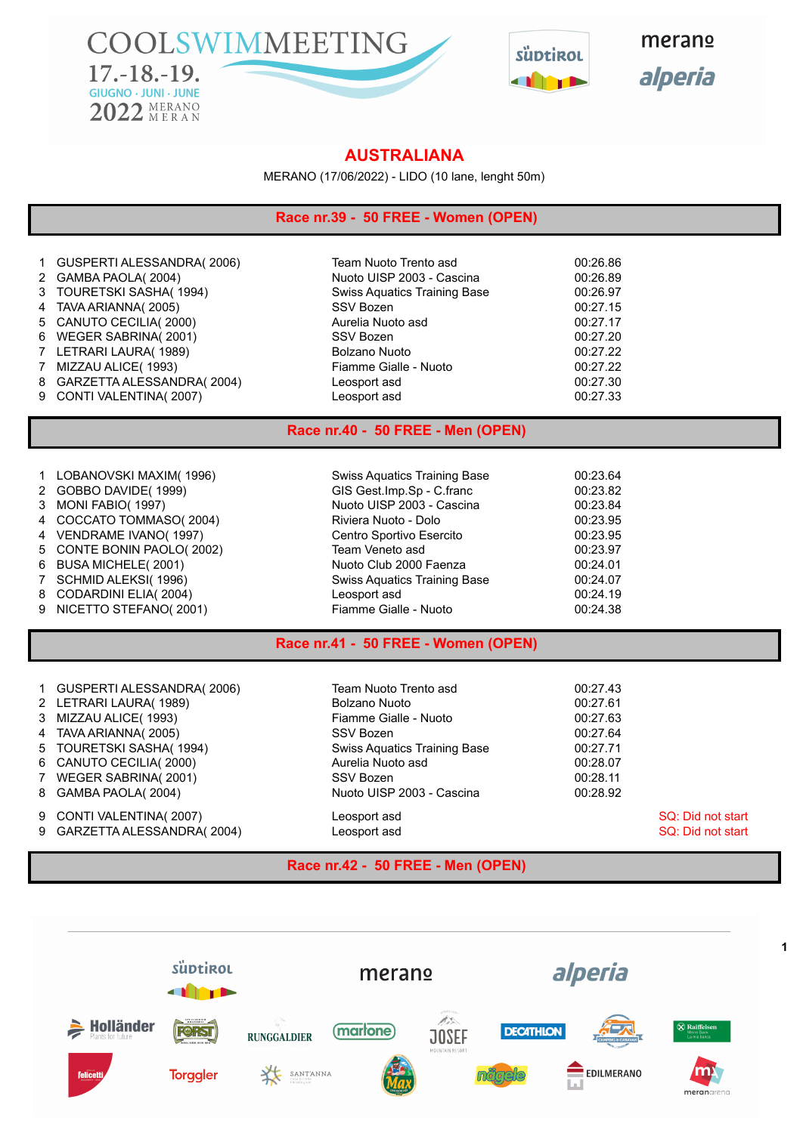COOLSWIMMEETING  $17.-18.-19.$ **GIUGNO · JUNI · JUNE** 2022 MERANO



merano alperia

## **AUSTRALIANA**

MERANO (17/06/2022) - LIDO (10 lane, lenght 50m)

### **Race nr.39 - 50 FREE - Women (OPEN)**

|  | 1 GUSPERTI ALESSANDRA(2006) |
|--|-----------------------------|
|--|-----------------------------|

- 
- 
- 
- 
- 
- 
- 
- 
- 

Team Nuoto Trento asd 00:26.86 GAMBA PAOLA( 2004) Nuoto UISP 2003 - Cascina 00:26.89 TOURETSKI SASHA( 1994) Swiss Aquatics Training Base 00:26.97 TAVA ARIANNA( 2005) SSV Bozen 00:27.15 5 CANUTO CECILIA( 2000) 27.17 6 WEGER SABRINA( 2001) SSV Bozen SSV Boxen 6 00:27.20 LETRARI LAURA( 1989) Bolzano Nuoto 00:27.22 MIZZAU ALICE( 1993) Fiamme Gialle - Nuoto 00:27.22 GARZETTA ALESSANDRA( 2004) Leosport asd 00:27.30 CONTI VALENTINA( 2007) Leosport asd 00:27.33

### **Race nr.40 - 50 FREE - Men (OPEN)**

| 1 LOBANOVSKI MAXIM(1996)  | Swiss Aquatics Training Base | 00:23.64 |
|---------------------------|------------------------------|----------|
| 2 GOBBO DAVIDE(1999)      | GIS Gest.Imp.Sp - C.franc    | 00:23.82 |
| 3 MONI FABIO(1997)        | Nuoto UISP 2003 - Cascina    | 00:23.84 |
| 4 COCCATO TOMMASO(2004)   | Riviera Nuoto - Dolo         | 00:23.95 |
| 4 VENDRAME IVANO(1997)    | Centro Sportivo Esercito     | 00:23.95 |
| 5 CONTE BONIN PAOLO(2002) | Team Veneto asd              | 00:23.97 |
| 6 BUSA MICHELE(2001)      | Nuoto Club 2000 Faenza       | 00:24.01 |
| 7 SCHMID ALEKSI(1996)     | Swiss Aquatics Training Base | 00:24.07 |
| 8 CODARDINI ELIA(2004)    | Leosport asd                 | 00:24.19 |
| 9 NICETTO STEFANO(2001)   | Fiamme Gialle - Nuoto        | 00:24.38 |

### **Race nr.41 - 50 FREE - Women (OPEN)**

| 1 GUSPERTI ALESSANDRA(2006)<br>2 LETRARI LAURA(1989)<br>3 MIZZAU ALICE(1993)<br>4 TAVA ARIANNA(2005)<br>5 TOURETSKI SASHA(1994)<br>6 CANUTO CECILIA(2000) | Team Nuoto Trento asd<br>Bolzano Nuoto<br>Fiamme Gialle - Nuoto<br>SSV Bozen<br>Swiss Aquatics Training Base<br>Aurelia Nuoto asd<br>SSV Bozen | 00:27.43<br>00:27.61<br>00:27.63<br>00:27.64<br>00:27.71<br>00:28.07<br>00:28.11 |
|-----------------------------------------------------------------------------------------------------------------------------------------------------------|------------------------------------------------------------------------------------------------------------------------------------------------|----------------------------------------------------------------------------------|
| 7 WEGER SABRINA(2001)<br>8 GAMBA PAOLA(2004)<br>9 CONTI VALENTINA(2007)                                                                                   | Nuoto UISP 2003 - Cascina<br>Leosport asd                                                                                                      | 00:28.92<br>SQ: Did not start                                                    |
| 9 GARZETTA ALESSANDRA(2004)                                                                                                                               | Leosport asd                                                                                                                                   | SQ: Did not start                                                                |

#### **Race nr.42 - 50 FREE - Men (OPEN)**

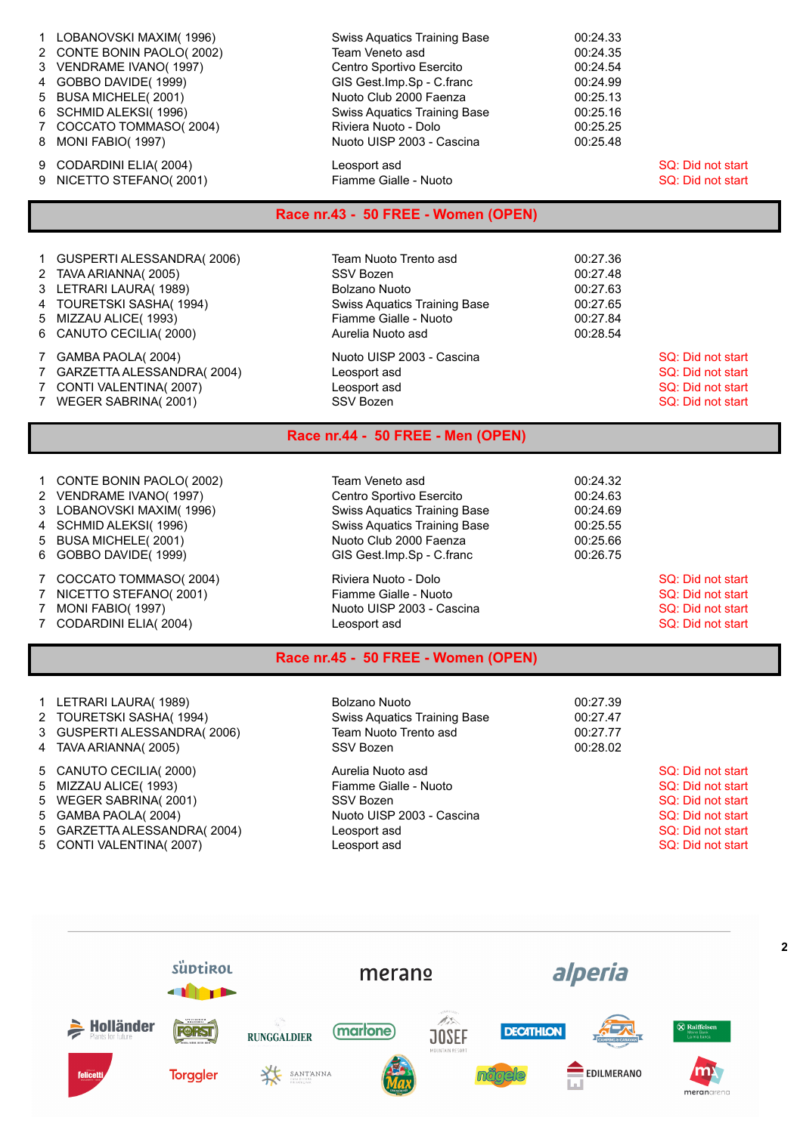|   | 1 LOBANOVSKI MAXIM(1996)            | <b>Swiss Aquatics Training Base</b> | 00:24.33 |                   |  |
|---|-------------------------------------|-------------------------------------|----------|-------------------|--|
|   | 2 CONTE BONIN PAOLO(2002)           | Team Veneto asd                     | 00:24.35 |                   |  |
|   | 3 VENDRAME IVANO(1997)              | Centro Sportivo Esercito            | 00:24.54 |                   |  |
|   | 4 GOBBO DAVIDE(1999)                | GIS Gest.Imp.Sp - C.franc           | 00:24.99 |                   |  |
|   | 5 BUSA MICHELE(2001)                | Nuoto Club 2000 Faenza              | 00:25.13 |                   |  |
|   | 6 SCHMID ALEKSI(1996)               | <b>Swiss Aquatics Training Base</b> | 00:25.16 |                   |  |
|   | 7 COCCATO TOMMASO(2004)             | Riviera Nuoto - Dolo                | 00:25.25 |                   |  |
| 8 | MONI FABIO(1997)                    | Nuoto UISP 2003 - Cascina           | 00:25.48 |                   |  |
| 9 | CODARDINI ELIA(2004)                | Leosport asd                        |          | SQ: Did not start |  |
| 9 | NICETTO STEFANO(2001)               | Fiamme Gialle - Nuoto               |          | SQ: Did not start |  |
|   | Race nr.43 - 50 FREE - Women (OPEN) |                                     |          |                   |  |

| 1 GUSPERTI ALESSANDRA(2006)<br>2 TAVA ARIANNA(2005)<br>3 LETRARI LAURA(1989)<br>4 TOURETSKI SASHA(1994)<br>5 MIZZAU ALICE (1993) | Team Nuoto Trento asd<br>SSV Bozen<br>Bolzano Nuoto<br><b>Swiss Aquatics Training Base</b><br>Fiamme Gialle - Nuoto | 00:27.36<br>00:27.48<br>00:27.63<br>00:27.65<br>00:27.84 |                                                                                  |
|----------------------------------------------------------------------------------------------------------------------------------|---------------------------------------------------------------------------------------------------------------------|----------------------------------------------------------|----------------------------------------------------------------------------------|
| 6 CANUTO CECILIA(2000)<br>7 GAMBA PAOLA(2004)<br>7 GARZETTA ALESSANDRA(2004)<br>7 CONTI VALENTINA(2007)<br>7 WEGER SABRINA(2001) | Aurelia Nuoto asd<br>Nuoto UISP 2003 - Cascina<br>Leosport asd<br>Leosport asd<br>SSV Bozen                         | 00:28.54                                                 | SQ: Did not start<br>SQ: Did not start<br>SQ: Did not start<br>SQ: Did not start |

# **Race nr.44 - 50 FREE - Men (OPEN)**

| 3 LOBANOVSKI MAXIM(1996)<br>4 SCHMID ALEKSI(1996) | <b>Swiss Aquatics Training Base</b><br><b>Swiss Aquatics Training Base</b> | 00:24.69<br>00:25.55 |                   |
|---------------------------------------------------|----------------------------------------------------------------------------|----------------------|-------------------|
| 5 BUSA MICHELE(2001)                              | Nuoto Club 2000 Faenza                                                     | 00:25.66             |                   |
| 6 GOBBO DAVIDE(1999)                              | GIS Gest. Imp. Sp - C. franc                                               | 00:26.75             |                   |
| COCCATO TOMMASO(2004)                             | Riviera Nuoto - Dolo                                                       |                      | SQ: Did not start |
| NICETTO STEFANO(2001)                             | Fiamme Gialle - Nuoto                                                      |                      | SQ: Did not start |
| MONI FABIO(1997)                                  | Nuoto UISP 2003 - Cascina                                                  |                      | SQ: Did not start |
| CODARDINI ELIA(2004)                              | Leosport asd                                                               |                      | SQ: Did not start |

| 1 LETRARI LAURA(1989)<br>2 TOURETSKI SASHA(1994)<br>3 GUSPERTI ALESSANDRA(2006)<br>4 TAVA ARIANNA(2005)                       | Bolzano Nuoto<br><b>Swiss Aquatics Training Base</b><br>Team Nuoto Trento asd<br>SSV Bozen           | 00:27.39<br>00:27.47<br>00:27.77<br>00:28.02 |                                                                                                       |
|-------------------------------------------------------------------------------------------------------------------------------|------------------------------------------------------------------------------------------------------|----------------------------------------------|-------------------------------------------------------------------------------------------------------|
| 5 CANUTO CECILIA(2000)<br>5 MIZZAU ALICE(1993)<br>5 WEGER SABRINA(2001)<br>5 GAMBA PAOLA(2004)<br>5 GARZETTA ALESSANDRA(2004) | Aurelia Nuoto asd<br>Fiamme Gialle - Nuoto<br>SSV Bozen<br>Nuoto UISP 2003 - Cascina<br>Leosport asd |                                              | SQ: Did not start<br>SQ: Did not start<br>SQ: Did not start<br>SQ: Did not start<br>SQ: Did not start |
| 5 CONTI VALENTINA(2007)                                                                                                       | Leosport asd                                                                                         |                                              | SQ: Did not start                                                                                     |